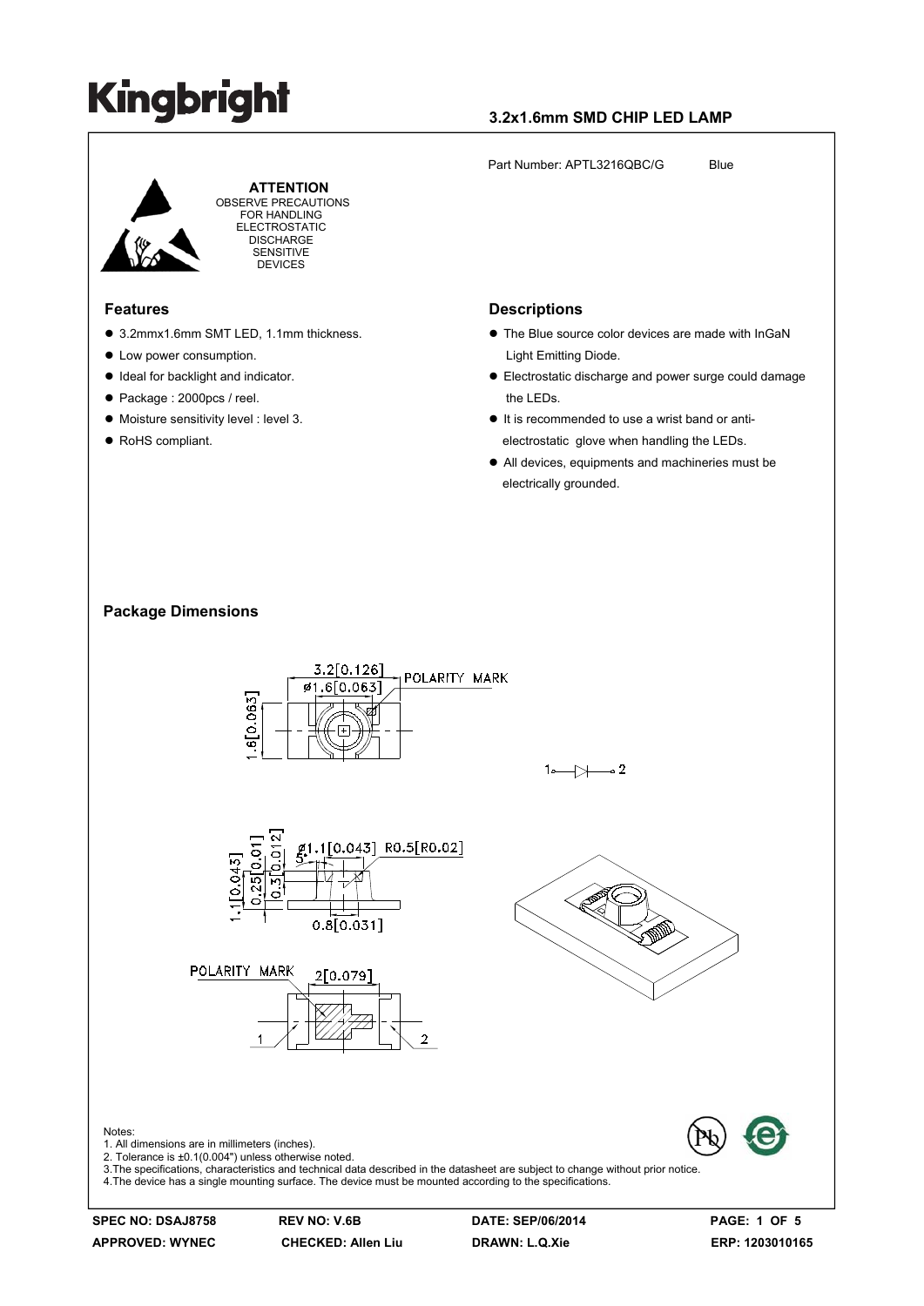### **3.2x1.6mm SMD CHIP LED LAMP**

Part Number: APTL3216QBC/G Blue



 **ATTENTION** OBSERVE PRECAUTIONS FOR HANDLING ELECTROSTATIC **DISCHARGE** SENSITIVE DEVICES

#### **Features**

- 3.2mmx1.6mm SMT LED, 1.1mm thickness.
- Low power consumption.
- $\bullet$  Ideal for backlight and indicator.
- Package : 2000pcs / reel.
- $\bullet$  Moisture sensitivity level : level 3.
- RoHS compliant.

#### **Descriptions**

- $\bullet$  The Blue source color devices are made with InGaN Light Emitting Diode.
- Electrostatic discharge and power surge could damage the LEDs.
- $\bullet$  It is recommended to use a wrist band or antielectrostatic glove when handling the LEDs.
- All devices, equipments and machineries must be electrically grounded.

#### **Package Dimensions**



**SPEC NO: DSAJ8758 REV NO: V.6B DATE: SEP/06/2014 PAGE: 1 OF 5**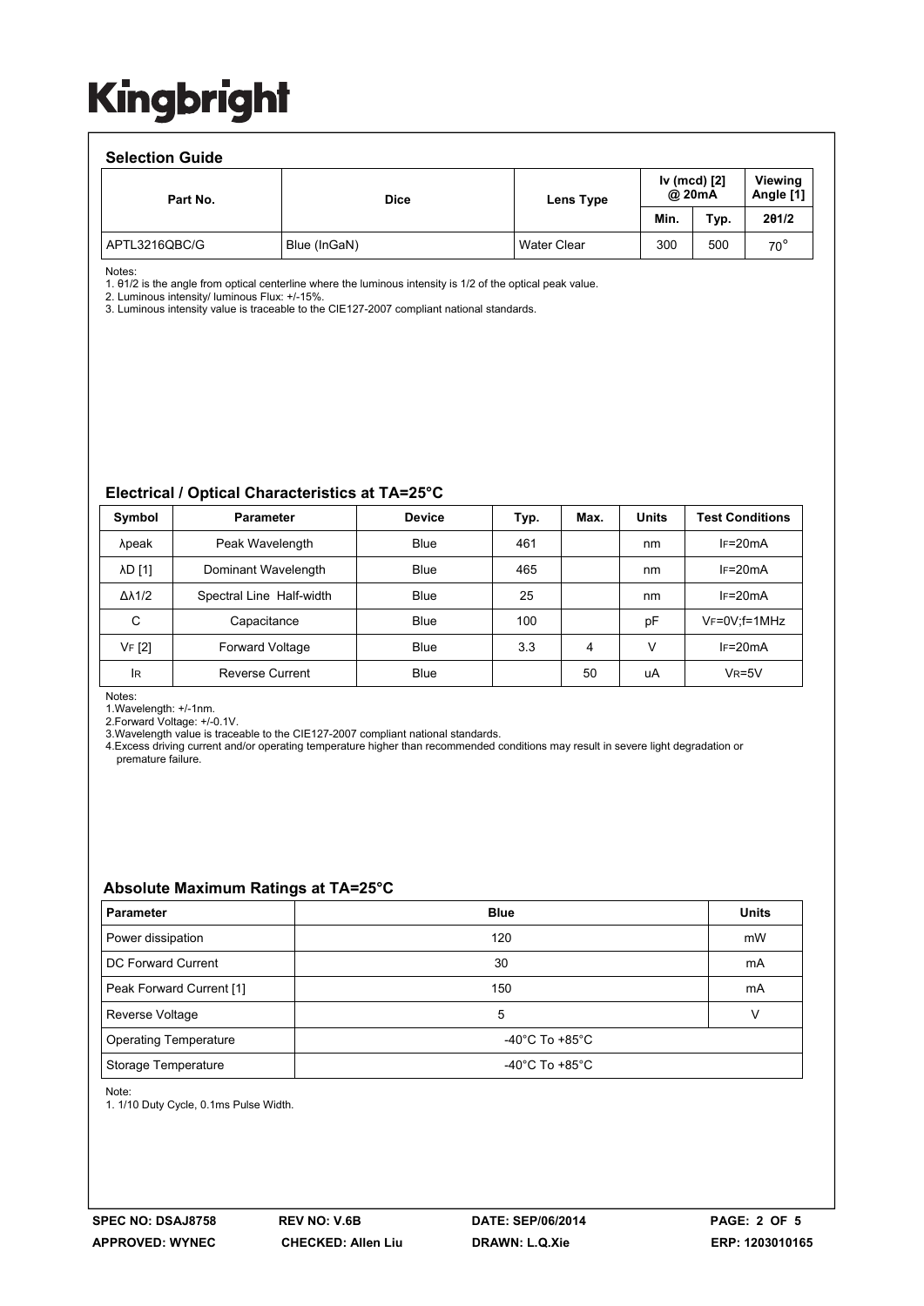#### **Selection Guide**

| <u>sonovu vii vaidu</u> |              |                                     |      |      |                      |  |  |  |  |  |
|-------------------------|--------------|-------------------------------------|------|------|----------------------|--|--|--|--|--|
| Part No.                | <b>Dice</b>  | Iv (mcd) [2]<br>@ 20mA<br>Lens Type |      |      | Viewing<br>Angle [1] |  |  |  |  |  |
|                         |              |                                     | Min. | Typ. | 201/2                |  |  |  |  |  |
| APTL3216QBC/G           | Blue (InGaN) | <b>Water Clear</b>                  | 300  | 500  | $70^{\circ}$         |  |  |  |  |  |

Notes:

1. θ1/2 is the angle from optical centerline where the luminous intensity is 1/2 of the optical peak value.

2. Luminous intensity/ luminous Flux: +/-15%.

3. Luminous intensity value is traceable to the CIE127-2007 compliant national standards.

#### **Electrical / Optical Characteristics at TA=25°C**

| Symbol              | <b>Parameter</b>         | <b>Device</b> | Typ. | Max. | <b>Units</b> | <b>Test Conditions</b> |
|---------------------|--------------------------|---------------|------|------|--------------|------------------------|
| λpeak               | Peak Wavelength          | Blue          | 461  |      | nm           | $IF=20mA$              |
| λD [1]              | Dominant Wavelength      | Blue          | 465  |      | nm           | $IF=20mA$              |
| $\Delta\lambda$ 1/2 | Spectral Line Half-width | Blue          | 25   |      | nm           | $IF=20mA$              |
| C                   | Capacitance              | <b>Blue</b>   | 100  |      | pF           | $V_F = 0V$ ; f = 1MHz  |
| VF [2]              | <b>Forward Voltage</b>   | Blue          | 3.3  | 4    | v            | $IF=20mA$              |
| lR                  | <b>Reverse Current</b>   | Blue          |      | 50   | uA           | $VR=5V$                |

Notes:

1.Wavelength: +/-1nm.

2.Forward Voltage: +/-0.1V.

3.Wavelength value is traceable to the CIE127-2007 compliant national standards.

4.Excess driving current and/or operating temperature higher than recommended conditions may result in severe light degradation or premature failure.

#### **Absolute Maximum Ratings at TA=25°C**

| <b>Parameter</b>             | <b>Blue</b>                          | <b>Units</b> |  |
|------------------------------|--------------------------------------|--------------|--|
| Power dissipation            | 120                                  | mW           |  |
| DC Forward Current           | 30                                   | mA           |  |
| Peak Forward Current [1]     | 150                                  | mA           |  |
| Reverse Voltage              | 5                                    |              |  |
| <b>Operating Temperature</b> | -40°C To +85°C                       |              |  |
| Storage Temperature          | -40 $^{\circ}$ C To +85 $^{\circ}$ C |              |  |

Note:

1. 1/10 Duty Cycle, 0.1ms Pulse Width.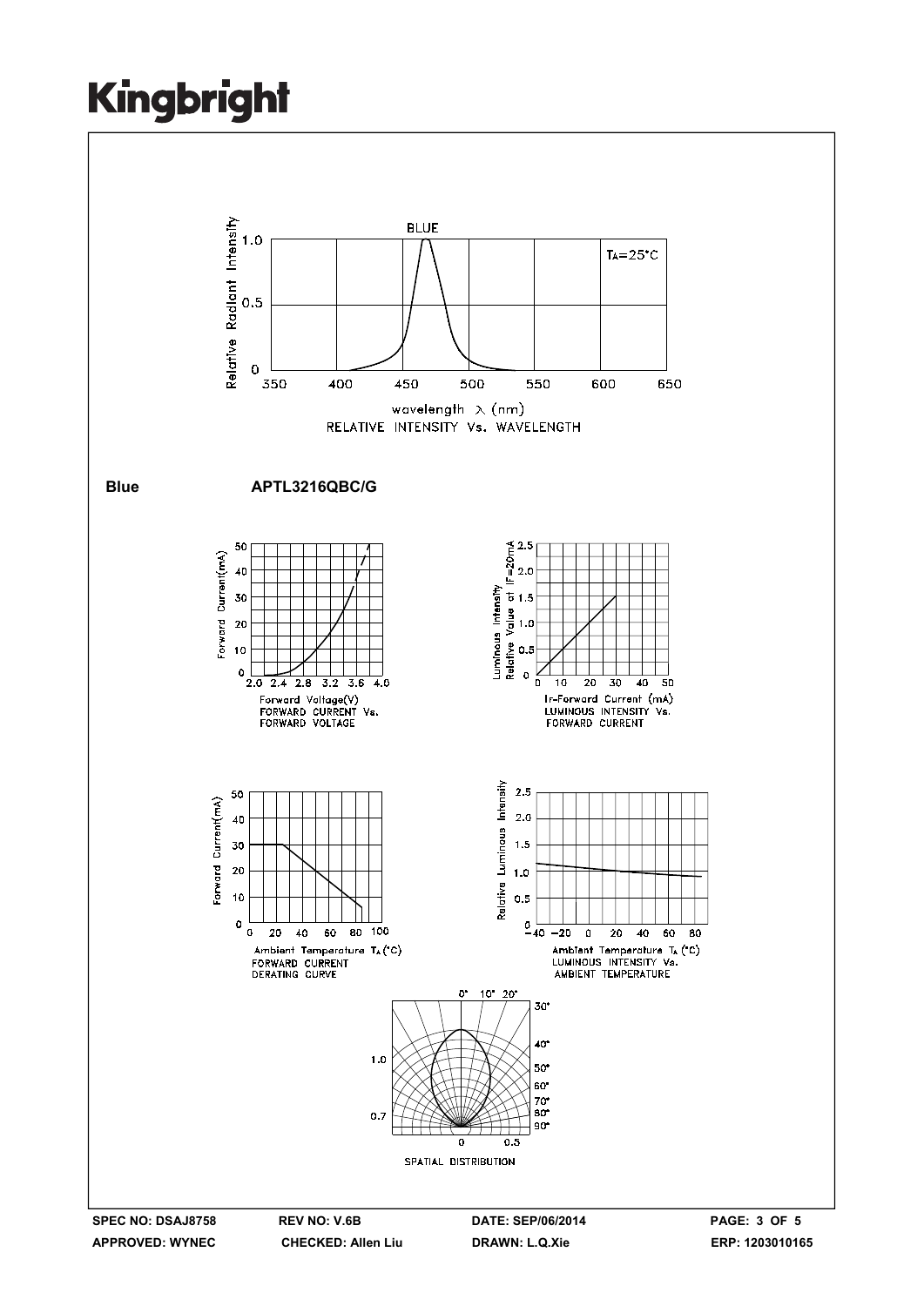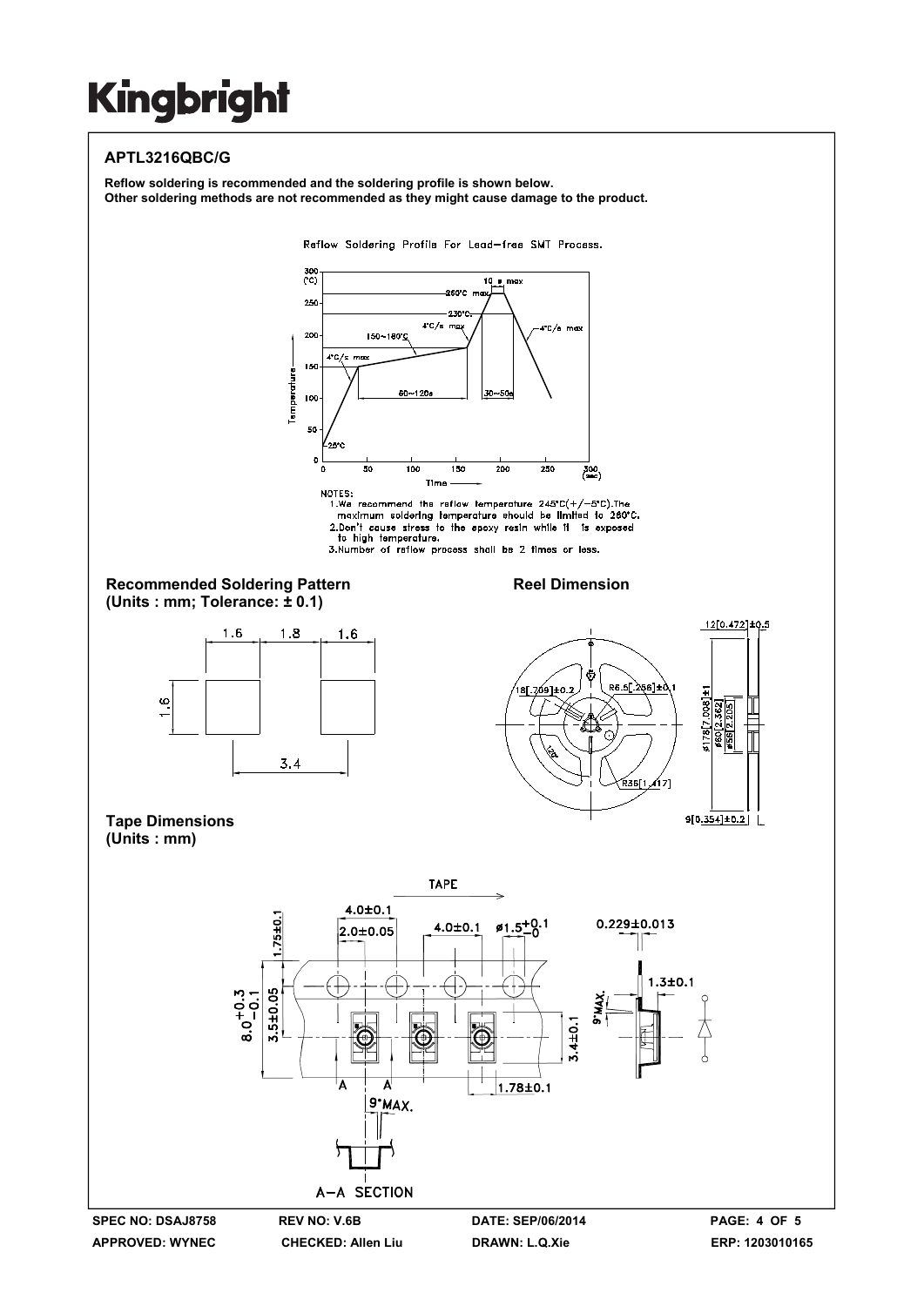### **APTL3216QBC/G**

**Reflow soldering is recommended and the soldering profile is shown below. Other soldering methods are not recommended as they might cause damage to the product.**